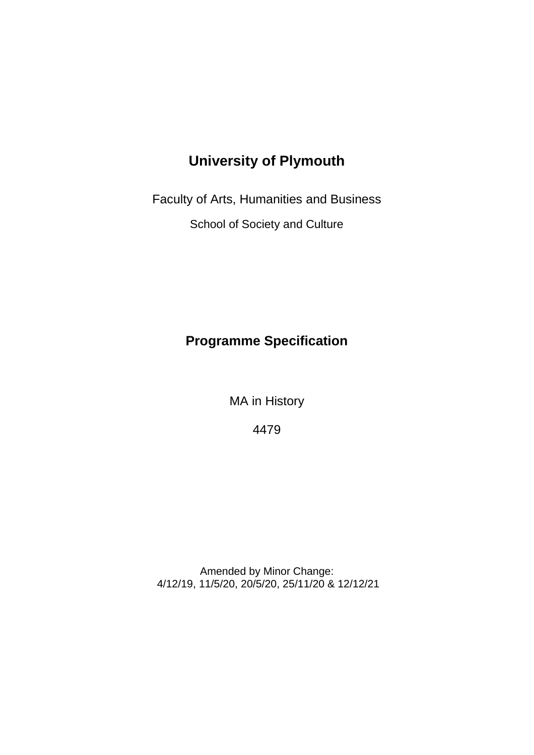# **University of Plymouth**

Faculty of Arts, Humanities and Business

School of Society and Culture

# **Programme Specification**

MA in History

4479

Amended by Minor Change: 4/12/19, 11/5/20, 20/5/20, 25/11/20 & 12/12/21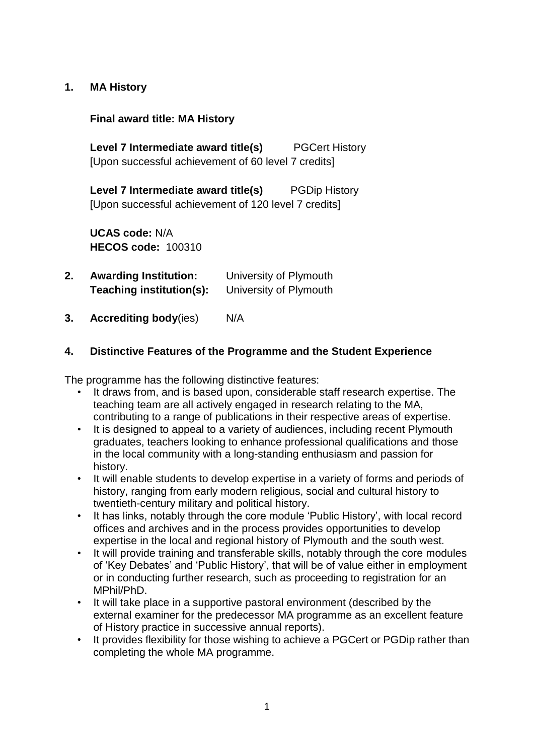### **1. MA History**

**Final award title: MA History**

**Level 7 Intermediate award title(s)** PGCert History [Upon successful achievement of 60 level 7 credits]

**Level 7 Intermediate award title(s)** PGDip History [Upon successful achievement of 120 level 7 credits]

**UCAS code:** N/A **HECOS code:** 100310

- **2. Awarding Institution:** University of Plymouth **Teaching institution(s):** University of Plymouth
- **3. Accrediting body**(ies) N/A

# **4. Distinctive Features of the Programme and the Student Experience**

The programme has the following distinctive features:

- It draws from, and is based upon, considerable staff research expertise. The teaching team are all actively engaged in research relating to the MA, contributing to a range of publications in their respective areas of expertise.
- It is designed to appeal to a variety of audiences, including recent Plymouth graduates, teachers looking to enhance professional qualifications and those in the local community with a long-standing enthusiasm and passion for history.
- It will enable students to develop expertise in a variety of forms and periods of history, ranging from early modern religious, social and cultural history to twentieth-century military and political history.
- It has links, notably through the core module 'Public History', with local record offices and archives and in the process provides opportunities to develop expertise in the local and regional history of Plymouth and the south west.
- It will provide training and transferable skills, notably through the core modules of 'Key Debates' and 'Public History', that will be of value either in employment or in conducting further research, such as proceeding to registration for an MPhil/PhD.
- It will take place in a supportive pastoral environment (described by the external examiner for the predecessor MA programme as an excellent feature of History practice in successive annual reports).
- It provides flexibility for those wishing to achieve a PGCert or PGDip rather than completing the whole MA programme.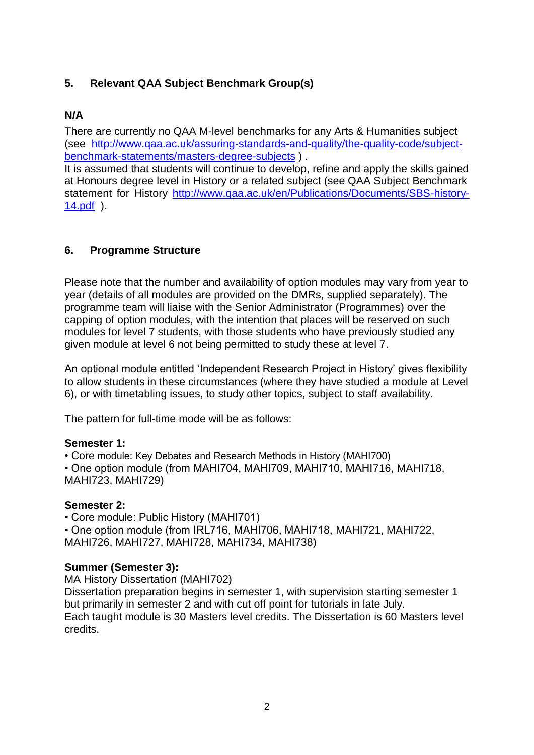## **5. Relevant QAA Subject Benchmark Group(s)**

## **N/A**

There are currently no QAA M-level benchmarks for any Arts & Humanities subject (see [http://www.qaa.ac.uk/assuring-standards-and-quality/the-quality-code/subject](http://www.qaa.ac.uk/assuring-standards-and-quality/the-quality-code/subject-benchmark-statements/masters-degree-subjects)[benchmark-statements/masters-degree-subjects](http://www.qaa.ac.uk/assuring-standards-and-quality/the-quality-code/subject-benchmark-statements/masters-degree-subjects) ) .

It is assumed that students will continue to develop, refine and apply the skills gained at Honours degree level in History or a related subject (see QAA Subject Benchmark statement for History [http://www.qaa.ac.uk/en/Publications/Documents/SBS-history-](http://www.qaa.ac.uk/en/Publications/Documents/SBS-history-14.pdf)[14.pdf](http://www.qaa.ac.uk/en/Publications/Documents/SBS-history-14.pdf) ).

### **6. Programme Structure**

Please note that the number and availability of option modules may vary from year to year (details of all modules are provided on the DMRs, supplied separately). The programme team will liaise with the Senior Administrator (Programmes) over the capping of option modules, with the intention that places will be reserved on such modules for level 7 students, with those students who have previously studied any given module at level 6 not being permitted to study these at level 7.

An optional module entitled 'Independent Research Project in History' gives flexibility to allow students in these circumstances (where they have studied a module at Level 6), or with timetabling issues, to study other topics, subject to staff availability.

The pattern for full-time mode will be as follows:

#### **Semester 1:**

• Core module: Key Debates and Research Methods in History (MAHI700) • One option module (from MAHI704, MAHI709, MAHI710, MAHI716, MAHI718, MAHI723, MAHI729)

#### **Semester 2:**

• Core module: Public History (MAHI701)

• One option module (from IRL716, MAHI706, MAHI718, MAHI721, MAHI722, MAHI726, MAHI727, MAHI728, MAHI734, MAHI738)

### **Summer (Semester 3):**

MA History Dissertation (MAHI702)

Dissertation preparation begins in semester 1, with supervision starting semester 1 but primarily in semester 2 and with cut off point for tutorials in late July. Each taught module is 30 Masters level credits. The Dissertation is 60 Masters level credits.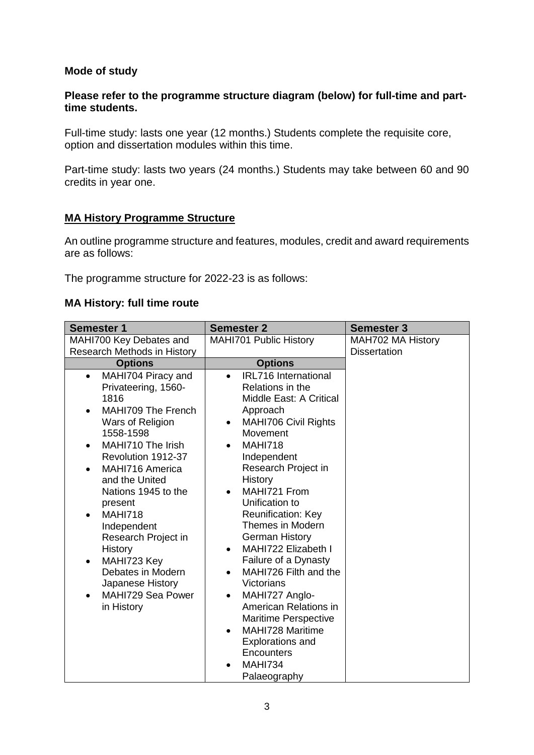### **Mode of study**

#### **Please refer to the programme structure diagram (below) for full-time and parttime students.**

Full-time study: lasts one year (12 months.) Students complete the requisite core, option and dissertation modules within this time.

Part-time study: lasts two years (24 months.) Students may take between 60 and 90 credits in year one.

### **MA History Programme Structure**

An outline programme structure and features, modules, credit and award requirements are as follows:

The programme structure for 2022-23 is as follows:

#### **MA History: full time route**

| <b>Semester 1</b>                                                                                                                                                                                                                                                                                                                                                                                                                                        | <b>Semester 2</b>                                                                                                                                                                                                                                                                                                                                                                                                                                                                                                                                                                                                                                                         | <b>Semester 3</b>   |  |  |  |  |  |  |  |  |
|----------------------------------------------------------------------------------------------------------------------------------------------------------------------------------------------------------------------------------------------------------------------------------------------------------------------------------------------------------------------------------------------------------------------------------------------------------|---------------------------------------------------------------------------------------------------------------------------------------------------------------------------------------------------------------------------------------------------------------------------------------------------------------------------------------------------------------------------------------------------------------------------------------------------------------------------------------------------------------------------------------------------------------------------------------------------------------------------------------------------------------------------|---------------------|--|--|--|--|--|--|--|--|
| MAHI700 Key Debates and                                                                                                                                                                                                                                                                                                                                                                                                                                  | MAHI701 Public History                                                                                                                                                                                                                                                                                                                                                                                                                                                                                                                                                                                                                                                    | MAH702 MA History   |  |  |  |  |  |  |  |  |
| Research Methods in History                                                                                                                                                                                                                                                                                                                                                                                                                              |                                                                                                                                                                                                                                                                                                                                                                                                                                                                                                                                                                                                                                                                           | <b>Dissertation</b> |  |  |  |  |  |  |  |  |
| <b>Options</b>                                                                                                                                                                                                                                                                                                                                                                                                                                           | <b>Options</b>                                                                                                                                                                                                                                                                                                                                                                                                                                                                                                                                                                                                                                                            |                     |  |  |  |  |  |  |  |  |
| MAHI704 Piracy and<br>$\bullet$<br>Privateering, 1560-<br>1816<br>MAHI709 The French<br>$\bullet$<br>Wars of Religion<br>1558-1598<br>MAHI710 The Irish<br>$\bullet$<br>Revolution 1912-37<br>MAHI716 America<br>$\bullet$<br>and the United<br>Nations 1945 to the<br>present<br><b>MAHI718</b><br>Independent<br>Research Project in<br><b>History</b><br>MAHI723 Key<br>٠<br>Debates in Modern<br>Japanese History<br>MAHI729 Sea Power<br>in History | <b>IRL716</b> International<br>$\bullet$<br>Relations in the<br>Middle East: A Critical<br>Approach<br><b>MAHI706 Civil Rights</b><br>٠<br>Movement<br><b>MAHI718</b><br>$\bullet$<br>Independent<br>Research Project in<br>History<br>MAHI721 From<br>$\bullet$<br>Unification to<br><b>Reunification: Key</b><br>Themes in Modern<br><b>German History</b><br>MAHI722 Elizabeth I<br>$\bullet$<br>Failure of a Dynasty<br>MAHI726 Filth and the<br>$\bullet$<br>Victorians<br>MAHI727 Anglo-<br>American Relations in<br><b>Maritime Perspective</b><br><b>MAHI728 Maritime</b><br>$\bullet$<br><b>Explorations and</b><br>Encounters<br><b>MAHI734</b><br>Palaeography |                     |  |  |  |  |  |  |  |  |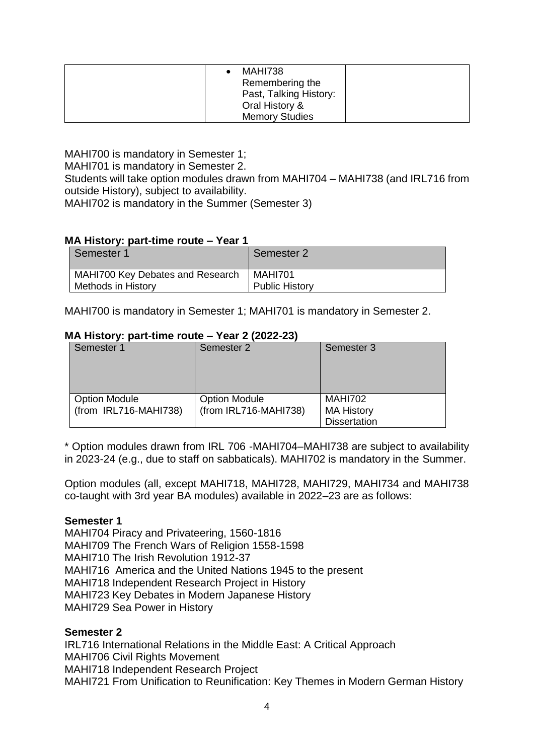| MAHI738<br>Remembering the<br>Past, Talking History:<br>Oral History & |  |
|------------------------------------------------------------------------|--|
| <b>Memory Studies</b>                                                  |  |

MAHI700 is mandatory in Semester 1; MAHI701 is mandatory in Semester 2. Students will take option modules drawn from MAHI704 – MAHI738 (and IRL716 from outside History), subject to availability. MAHI702 is mandatory in the Summer (Semester 3)

#### **MA History: part-time route – Year 1**

| Semester 1                       | Semester 2            |
|----------------------------------|-----------------------|
| MAHI700 Key Debates and Research | MAHI701               |
| Methods in History               | <b>Public History</b> |

MAHI700 is mandatory in Semester 1; MAHI701 is mandatory in Semester 2.

#### **MA History: part-time route – Year 2 (2022-23)**

| Semester 3                                                  |
|-------------------------------------------------------------|
|                                                             |
|                                                             |
|                                                             |
|                                                             |
|                                                             |
| MAHI702                                                     |
|                                                             |
| <b>MA History</b>                                           |
| <b>Dissertation</b>                                         |
| Semester 2<br><b>Option Module</b><br>(from IRL716-MAHI738) |

\* Option modules drawn from IRL 706 -MAHI704–MAHI738 are subject to availability in 2023-24 (e.g., due to staff on sabbaticals). MAHI702 is mandatory in the Summer.

Option modules (all, except MAHI718, MAHI728, MAHI729, MAHI734 and MAHI738 co-taught with 3rd year BA modules) available in 2022–23 are as follows:

#### **Semester 1**

MAHI704 Piracy and Privateering, 1560-1816 MAHI709 The French Wars of Religion 1558-1598 MAHI710 The Irish Revolution 1912-37 MAHI716 America and the United Nations 1945 to the present MAHI718 Independent Research Project in History MAHI723 Key Debates in Modern Japanese History MAHI729 Sea Power in History

#### **Semester 2**

IRL716 International Relations in the Middle East: A Critical Approach MAHI706 Civil Rights Movement MAHI718 Independent Research Project MAHI721 From Unification to Reunification: Key Themes in Modern German History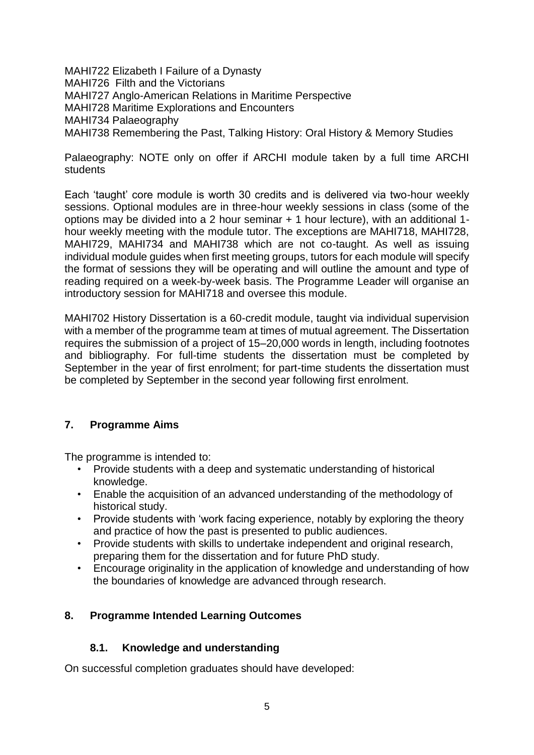MAHI722 Elizabeth I Failure of a Dynasty MAHI726 Filth and the Victorians MAHI727 Anglo-American Relations in Maritime Perspective MAHI728 Maritime Explorations and Encounters MAHI734 Palaeography MAHI738 Remembering the Past, Talking History: Oral History & Memory Studies

Palaeography: NOTE only on offer if ARCHI module taken by a full time ARCHI students

Each 'taught' core module is worth 30 credits and is delivered via two-hour weekly sessions. Optional modules are in three-hour weekly sessions in class (some of the options may be divided into a 2 hour seminar + 1 hour lecture), with an additional 1 hour weekly meeting with the module tutor. The exceptions are MAHI718, MAHI728, MAHI729, MAHI734 and MAHI738 which are not co-taught. As well as issuing individual module guides when first meeting groups, tutors for each module will specify the format of sessions they will be operating and will outline the amount and type of reading required on a week-by-week basis. The Programme Leader will organise an introductory session for MAHI718 and oversee this module.

MAHI702 History Dissertation is a 60-credit module, taught via individual supervision with a member of the programme team at times of mutual agreement. The Dissertation requires the submission of a project of 15–20,000 words in length, including footnotes and bibliography. For full-time students the dissertation must be completed by September in the year of first enrolment; for part-time students the dissertation must be completed by September in the second year following first enrolment.

### **7. Programme Aims**

The programme is intended to:

- Provide students with a deep and systematic understanding of historical knowledge.
- Enable the acquisition of an advanced understanding of the methodology of historical study.
- Provide students with 'work facing experience, notably by exploring the theory and practice of how the past is presented to public audiences.
- Provide students with skills to undertake independent and original research, preparing them for the dissertation and for future PhD study.
- Encourage originality in the application of knowledge and understanding of how the boundaries of knowledge are advanced through research.

### **8. Programme Intended Learning Outcomes**

### **8.1. Knowledge and understanding**

On successful completion graduates should have developed: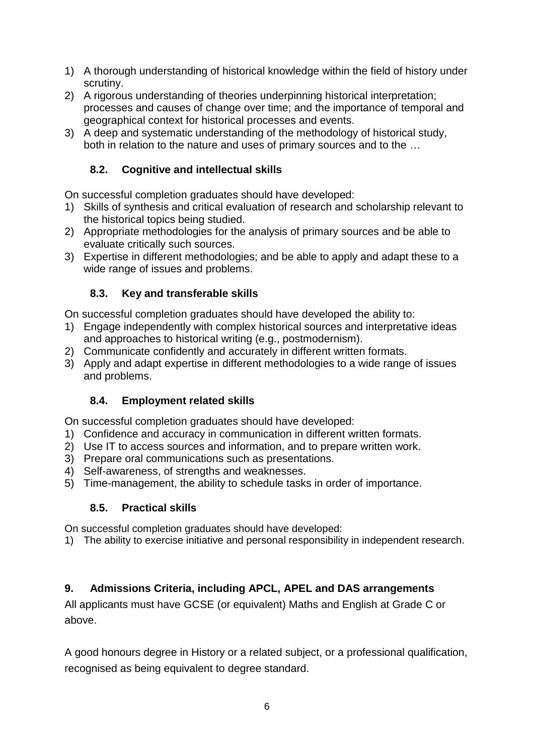- 1) A thorough understanding of historical knowledge within the field of history under scrutiny.
- 2) A rigorous understanding of theories underpinning historical interpretation; processes and causes of change over time; and the importance of temporal and geographical context for historical processes and events.
- 3) A deep and systematic understanding of the methodology of historical study, both in relation to the nature and uses of primary sources and to the …

# **8.2. Cognitive and intellectual skills**

On successful completion graduates should have developed:

- 1) Skills of synthesis and critical evaluation of research and scholarship relevant to the historical topics being studied.
- 2) Appropriate methodologies for the analysis of primary sources and be able to evaluate critically such sources.
- 3) Expertise in different methodologies; and be able to apply and adapt these to a wide range of issues and problems.

# **8.3. Key and transferable skills**

On successful completion graduates should have developed the ability to:

- 1) Engage independently with complex historical sources and interpretative ideas and approaches to historical writing (e.g., postmodernism).
- 2) Communicate confidently and accurately in different written formats.
- 3) Apply and adapt expertise in different methodologies to a wide range of issues and problems.

# **8.4. Employment related skills**

On successful completion graduates should have developed:

- 1) Confidence and accuracy in communication in different written formats.
- 2) Use IT to access sources and information, and to prepare written work.
- 3) Prepare oral communications such as presentations.
- 4) Self-awareness, of strengths and weaknesses.
- 5) Time-management, the ability to schedule tasks in order of importance.

# **8.5. Practical skills**

On successful completion graduates should have developed:

1) The ability to exercise initiative and personal responsibility in independent research.

# **9. Admissions Criteria, including APCL, APEL and DAS arrangements**

All applicants must have GCSE (or equivalent) Maths and English at Grade C or above.

A good honours degree in History or a related subject, or a professional qualification, recognised as being equivalent to degree standard.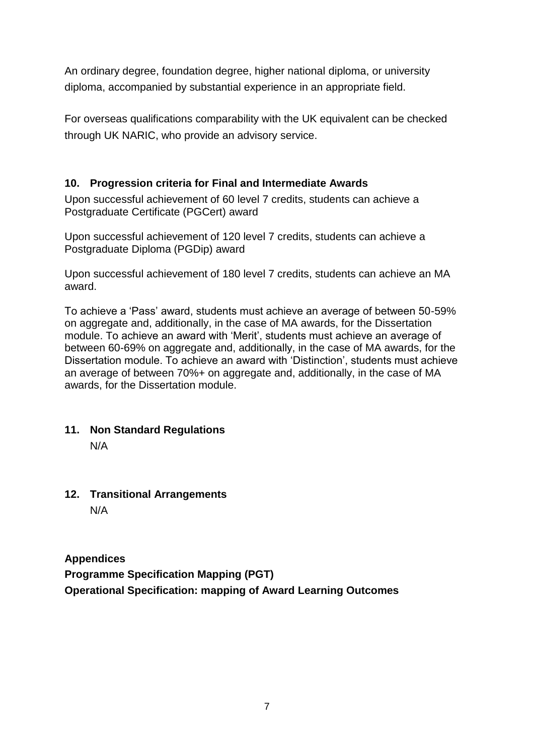An ordinary degree, foundation degree, higher national diploma, or university diploma, accompanied by substantial experience in an appropriate field.

For overseas qualifications comparability with the UK equivalent can be checked through UK NARIC, who provide an advisory service.

# **10. Progression criteria for Final and Intermediate Awards**

Upon successful achievement of 60 level 7 credits, students can achieve a Postgraduate Certificate (PGCert) award

Upon successful achievement of 120 level 7 credits, students can achieve a Postgraduate Diploma (PGDip) award

Upon successful achievement of 180 level 7 credits, students can achieve an MA award.

To achieve a 'Pass' award, students must achieve an average of between 50-59% on aggregate and, additionally, in the case of MA awards, for the Dissertation module. To achieve an award with 'Merit', students must achieve an average of between 60-69% on aggregate and, additionally, in the case of MA awards, for the Dissertation module. To achieve an award with 'Distinction', students must achieve an average of between 70%+ on aggregate and, additionally, in the case of MA awards, for the Dissertation module.

# **11. Non Standard Regulations**

N/A

**12. Transitional Arrangements** N/A

**Appendices**

**Programme Specification Mapping (PGT) Operational Specification: mapping of Award Learning Outcomes**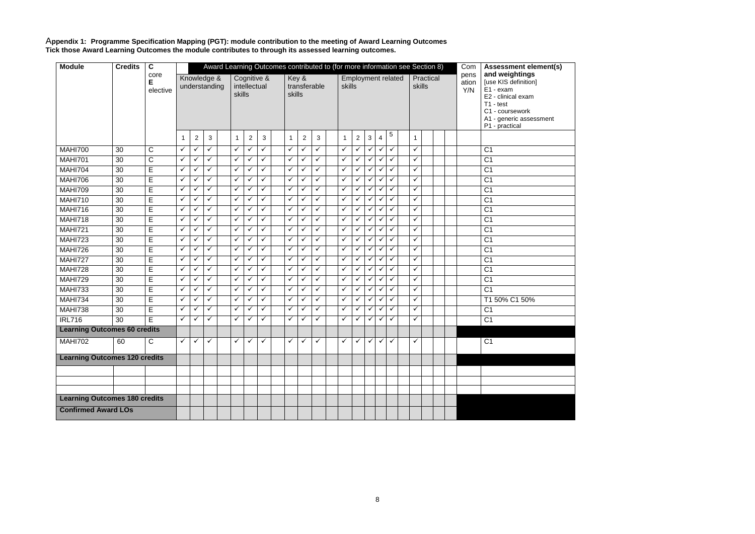

A**ppendix 1: Programme Specification Mapping (PGT): module contribution to the meeting of Award Learning Outcomes Tick those Award Learning Outcomes the module contributes to through its assessed learning outcomes.** 

| <b>Module</b>                        | <b>Credits</b> | $\mathbf c$           |                        | Award Learning Outcomes contributed to (for more information see Section 8) |                                                                                                          |              |              |                   |              |   |                                   |                              |              |   |                                                                   |                           |                                   | Com                          | <b>Assessment element(s)</b> |                      |                                                                                                                                                          |                |                |                 |  |  |
|--------------------------------------|----------------|-----------------------|------------------------|-----------------------------------------------------------------------------|----------------------------------------------------------------------------------------------------------|--------------|--------------|-------------------|--------------|---|-----------------------------------|------------------------------|--------------|---|-------------------------------------------------------------------|---------------------------|-----------------------------------|------------------------------|------------------------------|----------------------|----------------------------------------------------------------------------------------------------------------------------------------------------------|----------------|----------------|-----------------|--|--|
|                                      |                | core<br>E<br>elective |                        |                                                                             | Cognitive &<br>Knowledge &<br>Key &<br>understanding<br>intellectual<br>transferable<br>skills<br>skills |              |              |                   |              |   |                                   | skills                       |              |   |                                                                   | <b>Employment related</b> | Practical<br>skills               |                              |                              | pens<br>ation<br>Y/N | and weightings<br>[use KIS definition]<br>E1 - exam<br>E2 - clinical exam<br>$T1 - test$<br>C1 - coursework<br>A1 - generic assessment<br>P1 - practical |                |                |                 |  |  |
|                                      |                |                       | -1                     | $\overline{c}$                                                              | 3                                                                                                        |              | $\mathbf 1$  | $\overline{c}$    | 3            |   | $\mathbf{1}$                      | $\overline{2}$               | $\sqrt{3}$   |   | $\mathbf{1}$                                                      | $\overline{c}$            | $\ensuremath{\mathsf{3}}$         | $\overline{4}$               | 5                            | $\mathbf{1}$         |                                                                                                                                                          |                |                |                 |  |  |
| <b>MAHI700</b>                       | 30             | $\mathsf C$           | $\checkmark$           | ✓                                                                           | ✓                                                                                                        |              | $\checkmark$ | $\checkmark$      | $\checkmark$ |   | ✓                                 | $\checkmark$                 | ✓            |   | ✓                                                                 | $\checkmark$              | $\checkmark$                      | $\checkmark$                 | $\checkmark$                 | $\checkmark$         |                                                                                                                                                          |                |                | C <sub>1</sub>  |  |  |
| <b>MAHI701</b>                       | 30             | $\mathsf C$           | $\checkmark$           | ✓                                                                           | ✓                                                                                                        |              | $\checkmark$ | $\checkmark$      | $\checkmark$ |   | ✓                                 | $\checkmark$                 | ✓            |   | ✓                                                                 | $\checkmark$              | ✓                                 | $\checkmark$                 | ✓                            | $\checkmark$         |                                                                                                                                                          |                |                | $\overline{C1}$ |  |  |
| <b>MAHI704</b>                       | 30             | E                     | $\checkmark$           |                                                                             | ✓                                                                                                        |              | $\checkmark$ | ✓                 | ✓            |   | ✓                                 | $\checkmark$                 | ✓            |   | ✓                                                                 | ✓                         | $\checkmark$                      | $\checkmark$                 | $\checkmark$                 | $\checkmark$         |                                                                                                                                                          |                |                | C <sub>1</sub>  |  |  |
| <b>MAHI706</b>                       | 30             | E                     | $\checkmark$           | ✓                                                                           | ✓                                                                                                        |              | $\checkmark$ | $\checkmark$      | $\checkmark$ |   | $\checkmark$<br>✓<br>$\checkmark$ |                              |              |   | $\checkmark$<br>✓<br>$\checkmark$<br>$\checkmark$<br>$\checkmark$ |                           |                                   | ✓                            |                              |                      |                                                                                                                                                          | C <sub>1</sub> |                |                 |  |  |
| <b>MAHI709</b>                       | 30             | E                     | $\checkmark$           | ✓                                                                           | ✓                                                                                                        |              | $\checkmark$ | $\checkmark$      | $\checkmark$ |   | $\checkmark$                      | $\checkmark$                 | $\checkmark$ |   | $\checkmark$                                                      | $\checkmark$              | $\checkmark$                      | $\checkmark$                 | $\checkmark$                 | $\checkmark$         |                                                                                                                                                          |                |                | $\overline{C1}$ |  |  |
| <b>MAHI710</b>                       | 30             | E                     | ✓                      | ✓                                                                           | ✓                                                                                                        |              | $\checkmark$ | $\checkmark$      | ✓            |   | ✓                                 | $\checkmark$                 | ✓            |   | ✓                                                                 | ✓                         | $\checkmark$                      | $\checkmark$                 | ✓                            | $\checkmark$         |                                                                                                                                                          |                |                | C <sub>1</sub>  |  |  |
| <b>MAHI716</b>                       | 30             | E                     | $\checkmark$<br>✓<br>✓ |                                                                             |                                                                                                          | $\checkmark$ | $\checkmark$ | $\checkmark$      |              | ✓ | $\checkmark$                      | $\checkmark$                 |              | ✓ | ✓                                                                 | $\checkmark$              | $\checkmark$                      | $\checkmark$                 | $\checkmark$                 |                      |                                                                                                                                                          |                | C <sub>1</sub> |                 |  |  |
| <b>MAHI718</b>                       | 30             | $\overline{E}$        | $\checkmark$           | ✓                                                                           | ✓                                                                                                        |              | $\checkmark$ | ✓                 | $\checkmark$ |   | ✓                                 | $\checkmark$<br>$\checkmark$ |              |   | $\checkmark$<br>$\checkmark$<br>$\checkmark$<br>$\checkmark$      |                           | $\checkmark$                      | $\checkmark$                 |                              |                      | C <sub>1</sub>                                                                                                                                           |                |                |                 |  |  |
| <b>MAHI721</b>                       | 30             | E                     | $\checkmark$           | ✓                                                                           | ✓                                                                                                        |              | $\checkmark$ | ✓                 | $\checkmark$ |   | ✓                                 | ✓                            | ✓            | ✓ |                                                                   | $\checkmark$              | $\checkmark$<br>✓<br>$\checkmark$ |                              | $\checkmark$                 |                      |                                                                                                                                                          |                | C <sub>1</sub> |                 |  |  |
| <b>MAHI723</b>                       | 30             | E                     | $\checkmark$           | ✓                                                                           | ✓                                                                                                        |              | $\checkmark$ | $\checkmark$      | $\checkmark$ |   | ✓                                 | $\checkmark$                 | $\checkmark$ |   | ✓                                                                 | ✓                         | $\checkmark$                      | $\checkmark$                 | ✓                            | $\checkmark$         |                                                                                                                                                          |                |                | C <sub>1</sub>  |  |  |
| <b>MAHI726</b>                       | 30             | E                     | $\checkmark$           | ✓                                                                           | ✓                                                                                                        |              | $\checkmark$ | ✓                 | $\checkmark$ |   | ✓                                 | ✓                            | $\checkmark$ |   | ✓                                                                 | ✓                         | $\checkmark$                      | $\checkmark$                 | $\checkmark$                 | $\checkmark$         |                                                                                                                                                          |                |                | C <sub>1</sub>  |  |  |
| <b>MAHI727</b>                       | 30             | E                     | $\checkmark$           | ✓                                                                           | ✓                                                                                                        |              | $\checkmark$ | ✓                 | $\checkmark$ |   | ✓                                 | ✓                            | ✓            |   | ✓                                                                 | ✓                         | $\checkmark$                      | $\checkmark$                 | ✓                            | ✓                    |                                                                                                                                                          |                |                | C <sub>1</sub>  |  |  |
| <b>MAHI728</b>                       | 30             | E                     | $\checkmark$           |                                                                             | ✓                                                                                                        |              | $\checkmark$ | ✓                 | $\checkmark$ |   | $\checkmark$                      | $\checkmark$                 | ✓            |   | $\checkmark$                                                      | $\checkmark$              | $\checkmark$                      | $\checkmark$                 | $\checkmark$                 | $\checkmark$         |                                                                                                                                                          |                |                | C <sub>1</sub>  |  |  |
| <b>MAHI729</b>                       | 30             | E                     | $\checkmark$           | ✓                                                                           | ✓                                                                                                        |              | $\checkmark$ | $\checkmark$<br>✓ |              |   | ✓                                 | ✓                            | ✓            |   | ✓<br>✓                                                            |                           | $\checkmark$                      | $\checkmark$<br>$\checkmark$ |                              | $\checkmark$         |                                                                                                                                                          |                |                | C <sub>1</sub>  |  |  |
| <b>MAHI733</b>                       | 30             | E                     | $\checkmark$           | ✓                                                                           | ✓                                                                                                        |              | $\checkmark$ | ✓                 | $\checkmark$ |   | ✓                                 | $\checkmark$                 | ✓            |   | ✓                                                                 | ✓                         | $\checkmark$                      | $\checkmark$                 | $\checkmark$                 | ✓                    |                                                                                                                                                          |                |                | C <sub>1</sub>  |  |  |
| <b>MAHI734</b>                       | 30             | $\overline{E}$        | $\checkmark$           | ✓                                                                           | ✓                                                                                                        |              | $\checkmark$ | $\checkmark$      | ✓            |   | ✓                                 | $\checkmark$                 | $\checkmark$ |   | $\checkmark$                                                      | $\checkmark$              | $\checkmark$                      | $\checkmark$                 | $\checkmark$                 | $\checkmark$         |                                                                                                                                                          |                |                | T1 50% C1 50%   |  |  |
| <b>MAHI738</b>                       | 30             | $\mathsf E$           | $\checkmark$           |                                                                             | ✓                                                                                                        |              | $\checkmark$ | ✓                 | $\checkmark$ |   | $\checkmark$                      | ✓                            | ✓            |   | ✓                                                                 | $\checkmark$              | $\checkmark$                      | $\checkmark$                 | ✓                            | $\checkmark$         |                                                                                                                                                          |                |                | C <sub>1</sub>  |  |  |
| <b>IRL716</b>                        | 30             | E                     | $\checkmark$           | ✓                                                                           | ✓                                                                                                        |              | $\checkmark$ | ✓                 | ✓            |   | ✓                                 | ✓                            | $\checkmark$ |   | ✓                                                                 | ✓                         | $\checkmark$                      | $\checkmark$                 | ✓                            | $\checkmark$         |                                                                                                                                                          |                |                | C <sub>1</sub>  |  |  |
| <b>Learning Outcomes 60 credits</b>  |                |                       |                        |                                                                             |                                                                                                          |              |              |                   |              |   |                                   |                              |              |   |                                                                   |                           |                                   |                              |                              |                      |                                                                                                                                                          |                |                |                 |  |  |
| <b>MAHI702</b>                       | 60             | C                     | $\checkmark$           | $\checkmark$                                                                | $\checkmark$                                                                                             |              | $\checkmark$ | $\checkmark$      | $\checkmark$ |   | ✓                                 | $\checkmark$                 | $\checkmark$ |   | ✓                                                                 | $\checkmark$              | $\checkmark$                      | $\checkmark$                 | $\checkmark$                 | ✓                    |                                                                                                                                                          |                |                | $\overline{C1}$ |  |  |
| <b>Learning Outcomes 120 credits</b> |                |                       |                        |                                                                             |                                                                                                          |              |              |                   |              |   |                                   |                              |              |   |                                                                   |                           |                                   |                              |                              |                      |                                                                                                                                                          |                |                |                 |  |  |
|                                      |                |                       |                        |                                                                             |                                                                                                          |              |              |                   |              |   |                                   |                              |              |   |                                                                   |                           |                                   |                              |                              |                      |                                                                                                                                                          |                |                |                 |  |  |
|                                      |                |                       |                        |                                                                             |                                                                                                          |              |              |                   |              |   |                                   |                              |              |   |                                                                   |                           |                                   |                              |                              |                      |                                                                                                                                                          |                |                |                 |  |  |
|                                      |                |                       |                        |                                                                             |                                                                                                          |              |              |                   |              |   |                                   |                              |              |   |                                                                   |                           |                                   |                              |                              |                      |                                                                                                                                                          |                |                |                 |  |  |
| <b>Learning Outcomes 180 credits</b> |                |                       |                        |                                                                             |                                                                                                          |              |              |                   |              |   |                                   |                              |              |   |                                                                   |                           |                                   |                              |                              |                      |                                                                                                                                                          |                |                |                 |  |  |
| <b>Confirmed Award LOs</b>           |                |                       |                        |                                                                             |                                                                                                          |              |              |                   |              |   |                                   |                              |              |   |                                                                   |                           |                                   |                              |                              |                      |                                                                                                                                                          |                |                |                 |  |  |